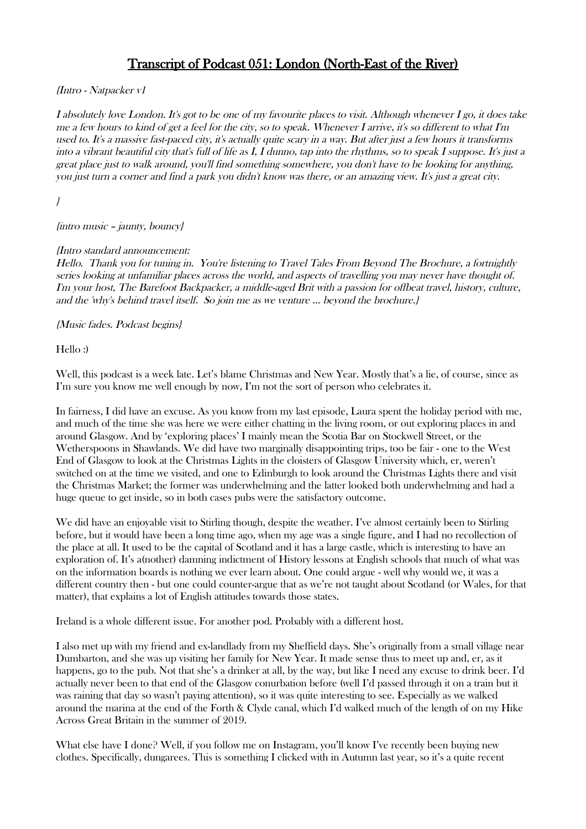# Transcript of Podcast 051: London (North-East of the River)

{Intro - Natpacker v1

I absolutely love London. It's got to be one of my favourite places to visit. Although whenever I go, it does take me a few hours to kind of get a feel for the city, so to speak. Whenever I arrive, it's so different to what I'm used to. It's a massive fast-paced city, it's actually quite scary in a way. But after just a few hours it transforms into a vibrant beautiful city that's full of life as I, I dunno, tap into the rhythms, so to speak I suppose. It's just a great place just to walk around, you'll find something somewhere, you don't have to be looking for anything, you just turn a corner and find a park you didn't know was there, or an amazing view. It's just a great city.

}

{intro music – jaunty, bouncy}

# {Intro standard announcement:

Hello. Thank you for tuning in. You're listening to Travel Tales From Beyond The Brochure, a fortnightly series looking at unfamiliar places across the world, and aspects of travelling you may never have thought of. I'm your host, The Barefoot Backpacker, a middle-aged Brit with a passion for offbeat travel, history, culture, and the 'why's behind travel itself. So join me as we venture … beyond the brochure.}

# {Music fades. Podcast begins}

Hello :)

Well, this podcast is a week late. Let's blame Christmas and New Year. Mostly that's a lie, of course, since as I'm sure you know me well enough by now, I'm not the sort of person who celebrates it.

In fairness, I did have an excuse. As you know from my last episode, Laura spent the holiday period with me, and much of the time she was here we were either chatting in the living room, or out exploring places in and around Glasgow. And by 'exploring places' I mainly mean the Scotia Bar on Stockwell Street, or the Wetherspoons in Shawlands. We did have two marginally disappointing trips, too be fair - one to the West End of Glasgow to look at the Christmas Lights in the cloisters of Glasgow University which, er, weren't switched on at the time we visited, and one to Edinburgh to look around the Christmas Lights there and visit the Christmas Market; the former was underwhelming and the latter looked both underwhelming and had a huge queue to get inside, so in both cases pubs were the satisfactory outcome.

We did have an enjoyable visit to Stirling though, despite the weather. I've almost certainly been to Stirling before, but it would have been a long time ago, when my age was a single figure, and I had no recollection of the place at all. It used to be the capital of Scotland and it has a large castle, which is interesting to have an exploration of. It's a(nother) damning indictment of History lessons at English schools that much of what was on the information boards is nothing we ever learn about. One could argue - well why would we, it was a different country then - but one could counter-argue that as we're not taught about Scotland (or Wales, for that matter), that explains a lot of English attitudes towards those states.

Ireland is a whole different issue. For another pod. Probably with a different host.

I also met up with my friend and ex-landlady from my Sheffield days. She's originally from a small village near Dumbarton, and she was up visiting her family for New Year. It made sense thus to meet up and, er, as it happens, go to the pub. Not that she's a drinker at all, by the way, but like I need any excuse to drink beer. I'd actually never been to that end of the Glasgow conurbation before (well I'd passed through it on a train but it was raining that day so wasn't paying attention), so it was quite interesting to see. Especially as we walked around the marina at the end of the Forth & Clyde canal, which I'd walked much of the length of on my Hike Across Great Britain in the summer of 2019.

What else have I done? Well, if you follow me on Instagram, you'll know I've recently been buying new clothes. Specifically, dungarees. This is something I clicked with in Autumn last year, so it's a quite recent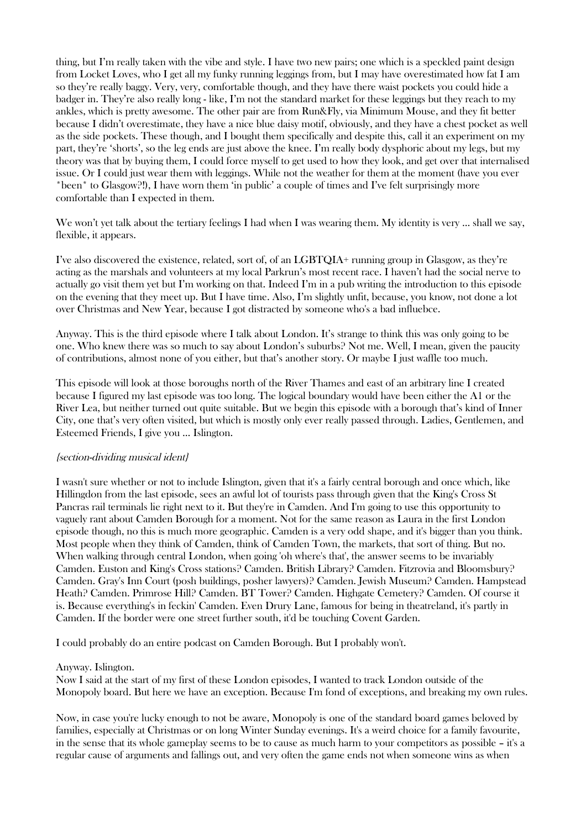thing, but I'm really taken with the vibe and style. I have two new pairs; one which is a speckled paint design from Locket Loves, who I get all my funky running leggings from, but I may have overestimated how fat I am so they're really baggy. Very, very, comfortable though, and they have there waist pockets you could hide a badger in. They're also really long - like, I'm not the standard market for these leggings but they reach to my ankles, which is pretty awesome. The other pair are from Run&Fly, via Minimum Mouse, and they fit better because I didn't overestimate, they have a nice blue daisy motif, obviously, and they have a chest pocket as well as the side pockets. These though, and I bought them specifically and despite this, call it an experiment on my part, they're 'shorts', so the leg ends are just above the knee. I'm really body dysphoric about my legs, but my theory was that by buying them, I could force myself to get used to how they look, and get over that internalised issue. Or I could just wear them with leggings. While not the weather for them at the moment (have you ever \*been\* to Glasgow?!), I have worn them 'in public' a couple of times and I've felt surprisingly more comfortable than I expected in them.

We won't yet talk about the tertiary feelings I had when I was wearing them. My identity is very ... shall we say, flexible, it appears.

I've also discovered the existence, related, sort of, of an LGBTQIA+ running group in Glasgow, as they're acting as the marshals and volunteers at my local Parkrun's most recent race. I haven't had the social nerve to actually go visit them yet but I'm working on that. Indeed I'm in a pub writing the introduction to this episode on the evening that they meet up. But I have time. Also, I'm slightly unfit, because, you know, not done a lot over Christmas and New Year, because I got distracted by someone who's a bad influebce.

Anyway. This is the third episode where I talk about London. It's strange to think this was only going to be one. Who knew there was so much to say about London's suburbs? Not me. Well, I mean, given the paucity of contributions, almost none of you either, but that's another story. Or maybe I just waffle too much.

This episode will look at those boroughs north of the River Thames and east of an arbitrary line I created because I figured my last episode was too long. The logical boundary would have been either the A1 or the River Lea, but neither turned out quite suitable. But we begin this episode with a borough that's kind of Inner City, one that's very often visited, but which is mostly only ever really passed through. Ladies, Gentlemen, and Esteemed Friends, I give you … Islington.

## {section-dividing musical ident}

I wasn't sure whether or not to include Islington, given that it's a fairly central borough and once which, like Hillingdon from the last episode, sees an awful lot of tourists pass through given that the King's Cross St Pancras rail terminals lie right next to it. But they're in Camden. And I'm going to use this opportunity to vaguely rant about Camden Borough for a moment. Not for the same reason as Laura in the first London episode though, no this is much more geographic. Camden is a very odd shape, and it's bigger than you think. Most people when they think of Camden, think of Camden Town, the markets, that sort of thing. But no. When walking through central London, when going 'oh where's that', the answer seems to be invariably Camden. Euston and King's Cross stations? Camden. British Library? Camden. Fitzrovia and Bloomsbury? Camden. Gray's Inn Court (posh buildings, posher lawyers)? Camden. Jewish Museum? Camden. Hampstead Heath? Camden. Primrose Hill? Camden. BT Tower? Camden. Highgate Cemetery? Camden. Of course it is. Because everything's in feckin' Camden. Even Drury Lane, famous for being in theatreland, it's partly in Camden. If the border were one street further south, it'd be touching Covent Garden.

I could probably do an entire podcast on Camden Borough. But I probably won't.

#### Anyway. Islington.

Now I said at the start of my first of these London episodes, I wanted to track London outside of the Monopoly board. But here we have an exception. Because I'm fond of exceptions, and breaking my own rules.

Now, in case you're lucky enough to not be aware, Monopoly is one of the standard board games beloved by families, especially at Christmas or on long Winter Sunday evenings. It's a weird choice for a family favourite, in the sense that its whole gameplay seems to be to cause as much harm to your competitors as possible – it's a regular cause of arguments and fallings out, and very often the game ends not when someone wins as when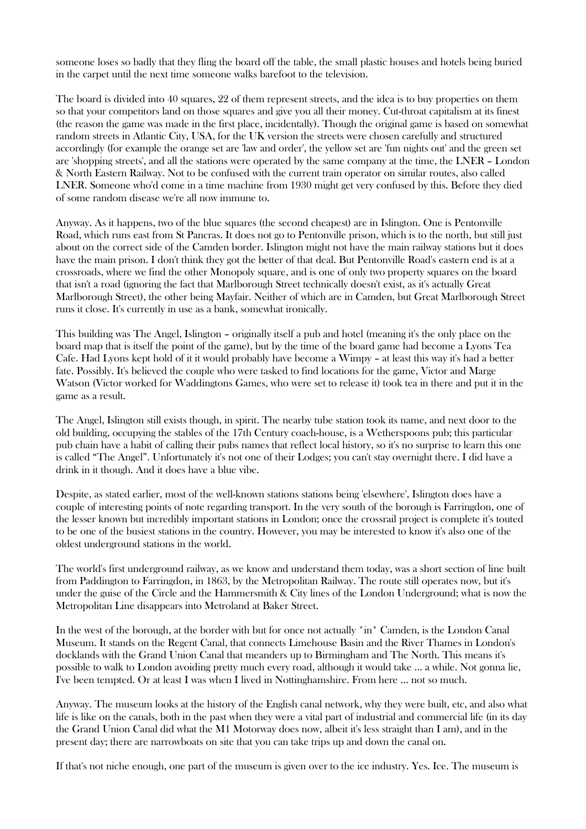someone loses so badly that they fling the board off the table, the small plastic houses and hotels being buried in the carpet until the next time someone walks barefoot to the television.

The board is divided into 40 squares, 22 of them represent streets, and the idea is to buy properties on them so that your competitors land on those squares and give you all their money. Cut-throat capitalism at its finest (the reason the game was made in the first place, incidentally). Though the original game is based on somewhat random streets in Atlantic City, USA, for the UK version the streets were chosen carefully and structured accordingly (for example the orange set are 'law and order', the yellow set are 'fun nights out' and the green set are 'shopping streets', and all the stations were operated by the same company at the time, the LNER – London & North Eastern Railway. Not to be confused with the current train operator on similar routes, also called LNER. Someone who'd come in a time machine from 1930 might get very confused by this. Before they died of some random disease we're all now immune to.

Anyway. As it happens, two of the blue squares (the second cheapest) are in Islington. One is Pentonville Road, which runs east from St Pancras. It does not go to Pentonville prison, which is to the north, but still just about on the correct side of the Camden border. Islington might not have the main railway stations but it does have the main prison. I don't think they got the better of that deal. But Pentonville Road's eastern end is at a crossroads, where we find the other Monopoly square, and is one of only two property squares on the board that isn't a road (ignoring the fact that Marlborough Street technically doesn't exist, as it's actually Great Marlborough Street), the other being Mayfair. Neither of which are in Camden, but Great Marlborough Street runs it close. It's currently in use as a bank, somewhat ironically.

This building was The Angel, Islington – originally itself a pub and hotel (meaning it's the only place on the board map that is itself the point of the game), but by the time of the board game had become a Lyons Tea Cafe. Had Lyons kept hold of it it would probably have become a Wimpy – at least this way it's had a better fate. Possibly. It's believed the couple who were tasked to find locations for the game, Victor and Marge Watson (Victor worked for Waddingtons Games, who were set to release it) took tea in there and put it in the game as a result.

The Angel, Islington still exists though, in spirit. The nearby tube station took its name, and next door to the old building, occupying the stables of the 17th Century coach-house, is a Wetherspoons pub; this particular pub chain have a habit of calling their pubs names that reflect local history, so it's no surprise to learn this one is called "The Angel". Unfortunately it's not one of their Lodges; you can't stay overnight there. I did have a drink in it though. And it does have a blue vibe.

Despite, as stated earlier, most of the well-known stations stations being 'elsewhere', Islington does have a couple of interesting points of note regarding transport. In the very south of the borough is Farringdon, one of the lesser known but incredibly important stations in London; once the crossrail project is complete it's touted to be one of the busiest stations in the country. However, you may be interested to know it's also one of the oldest underground stations in the world.

The world's first underground railway, as we know and understand them today, was a short section of line built from Paddington to Farringdon, in 1863, by the Metropolitan Railway. The route still operates now, but it's under the guise of the Circle and the Hammersmith & City lines of the London Underground; what is now the Metropolitan Line disappears into Metroland at Baker Street.

In the west of the borough, at the border with but for once not actually  $\sin^*$  Camden, is the London Canal Museum. It stands on the Regent Canal, that connects Limehouse Basin and the River Thames in London's docklands with the Grand Union Canal that meanders up to Birmingham and The North. This means it's possible to walk to London avoiding pretty much every road, although it would take … a while. Not gonna lie, I've been tempted. Or at least I was when I lived in Nottinghamshire. From here … not so much.

Anyway. The museum looks at the history of the English canal network, why they were built, etc, and also what life is like on the canals, both in the past when they were a vital part of industrial and commercial life (in its day the Grand Union Canal did what the M1 Motorway does now, albeit it's less straight than I am), and in the present day; there are narrowboats on site that you can take trips up and down the canal on.

If that's not niche enough, one part of the museum is given over to the ice industry. Yes. Ice. The museum is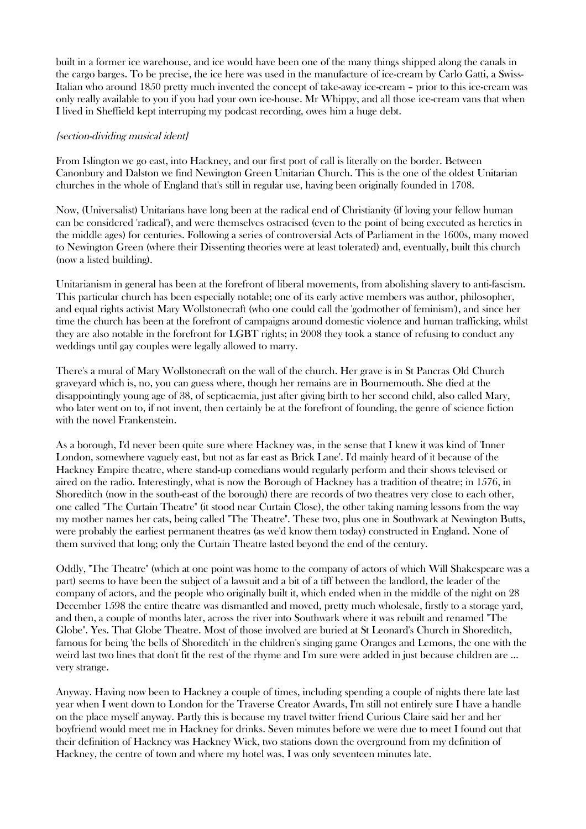built in a former ice warehouse, and ice would have been one of the many things shipped along the canals in the cargo barges. To be precise, the ice here was used in the manufacture of ice-cream by Carlo Gatti, a Swiss-Italian who around 1850 pretty much invented the concept of take-away ice-cream – prior to this ice-cream was only really available to you if you had your own ice-house. Mr Whippy, and all those ice-cream vans that when I lived in Sheffield kept interruping my podcast recording, owes him a huge debt.

## {section-dividing musical ident}

From Islington we go east, into Hackney, and our first port of call is literally on the border. Between Canonbury and Dalston we find Newington Green Unitarian Church. This is the one of the oldest Unitarian churches in the whole of England that's still in regular use, having been originally founded in 1708.

Now, (Universalist) Unitarians have long been at the radical end of Christianity (if loving your fellow human can be considered 'radical'), and were themselves ostracised (even to the point of being executed as heretics in the middle ages) for centuries. Following a series of controversial Acts of Parliament in the 1600s, many moved to Newington Green (where their Dissenting theories were at least tolerated) and, eventually, built this church (now a listed building).

Unitarianism in general has been at the forefront of liberal movements, from abolishing slavery to anti-fascism. This particular church has been especially notable; one of its early active members was author, philosopher, and equal rights activist Mary Wollstonecraft (who one could call the 'godmother of feminism'), and since her time the church has been at the forefront of campaigns around domestic violence and human trafficking, whilst they are also notable in the forefront for LGBT rights; in 2008 they took a stance of refusing to conduct any weddings until gay couples were legally allowed to marry.

There's a mural of Mary Wollstonecraft on the wall of the church. Her grave is in St Pancras Old Church graveyard which is, no, you can guess where, though her remains are in Bournemouth. She died at the disappointingly young age of 38, of septicaemia, just after giving birth to her second child, also called Mary, who later went on to, if not invent, then certainly be at the forefront of founding, the genre of science fiction with the novel Frankenstein.

As a borough, I'd never been quite sure where Hackney was, in the sense that I knew it was kind of 'Inner London, somewhere vaguely east, but not as far east as Brick Lane'. I'd mainly heard of it because of the Hackney Empire theatre, where stand-up comedians would regularly perform and their shows televised or aired on the radio. Interestingly, what is now the Borough of Hackney has a tradition of theatre; in 1576, in Shoreditch (now in the south-east of the borough) there are records of two theatres very close to each other, one called "The Curtain Theatre" (it stood near Curtain Close), the other taking naming lessons from the way my mother names her cats, being called "The Theatre". These two, plus one in Southwark at Newington Butts, were probably the earliest permanent theatres (as we'd know them today) constructed in England. None of them survived that long; only the Curtain Theatre lasted beyond the end of the century.

Oddly, "The Theatre" (which at one point was home to the company of actors of which Will Shakespeare was a part) seems to have been the subject of a lawsuit and a bit of a tiff between the landlord, the leader of the company of actors, and the people who originally built it, which ended when in the middle of the night on 28 December 1598 the entire theatre was dismantled and moved, pretty much wholesale, firstly to a storage yard, and then, a couple of months later, across the river into Southwark where it was rebuilt and renamed "The Globe". Yes. That Globe Theatre. Most of those involved are buried at St Leonard's Church in Shoreditch, famous for being 'the bells of Shoreditch' in the children's singing game Oranges and Lemons, the one with the weird last two lines that don't fit the rest of the rhyme and I'm sure were added in just because children are … very strange.

Anyway. Having now been to Hackney a couple of times, including spending a couple of nights there late last year when I went down to London for the Traverse Creator Awards, I'm still not entirely sure I have a handle on the place myself anyway. Partly this is because my travel twitter friend Curious Claire said her and her boyfriend would meet me in Hackney for drinks. Seven minutes before we were due to meet I found out that their definition of Hackney was Hackney Wick, two stations down the overground from my definition of Hackney, the centre of town and where my hotel was. I was only seventeen minutes late.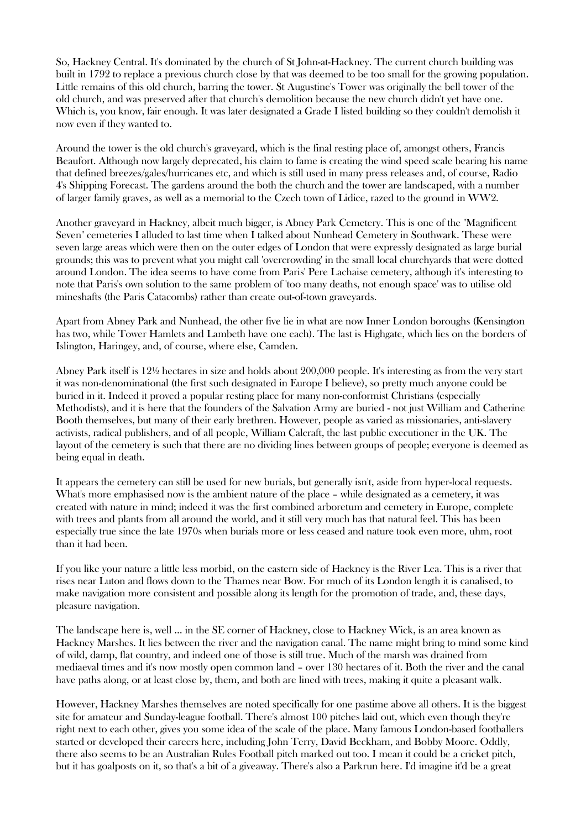So, Hackney Central. It's dominated by the church of St John-at-Hackney. The current church building was built in 1792 to replace a previous church close by that was deemed to be too small for the growing population. Little remains of this old church, barring the tower. St Augustine's Tower was originally the bell tower of the old church, and was preserved after that church's demolition because the new church didn't yet have one. Which is, you know, fair enough. It was later designated a Grade I listed building so they couldn't demolish it now even if they wanted to.

Around the tower is the old church's graveyard, which is the final resting place of, amongst others, Francis Beaufort. Although now largely deprecated, his claim to fame is creating the wind speed scale bearing his name that defined breezes/gales/hurricanes etc, and which is still used in many press releases and, of course, Radio 4's Shipping Forecast. The gardens around the both the church and the tower are landscaped, with a number of larger family graves, as well as a memorial to the Czech town of Lidice, razed to the ground in WW2.

Another graveyard in Hackney, albeit much bigger, is Abney Park Cemetery. This is one of the "Magnificent Seven" cemeteries I alluded to last time when I talked about Nunhead Cemetery in Southwark. These were seven large areas which were then on the outer edges of London that were expressly designated as large burial grounds; this was to prevent what you might call 'overcrowding' in the small local churchyards that were dotted around London. The idea seems to have come from Paris' Pere Lachaise cemetery, although it's interesting to note that Paris's own solution to the same problem of 'too many deaths, not enough space' was to utilise old mineshafts (the Paris Catacombs) rather than create out-of-town graveyards.

Apart from Abney Park and Nunhead, the other five lie in what are now Inner London boroughs (Kensington has two, while Tower Hamlets and Lambeth have one each). The last is Highgate, which lies on the borders of Islington, Haringey, and, of course, where else, Camden.

Abney Park itself is 12½ hectares in size and holds about 200,000 people. It's interesting as from the very start it was non-denominational (the first such designated in Europe I believe), so pretty much anyone could be buried in it. Indeed it proved a popular resting place for many non-conformist Christians (especially Methodists), and it is here that the founders of the Salvation Army are buried - not just William and Catherine Booth themselves, but many of their early brethren. However, people as varied as missionaries, anti-slavery activists, radical publishers, and of all people, William Calcraft, the last public executioner in the UK. The layout of the cemetery is such that there are no dividing lines between groups of people; everyone is deemed as being equal in death.

It appears the cemetery can still be used for new burials, but generally isn't, aside from hyper-local requests. What's more emphasised now is the ambient nature of the place – while designated as a cemetery, it was created with nature in mind; indeed it was the first combined arboretum and cemetery in Europe, complete with trees and plants from all around the world, and it still very much has that natural feel. This has been especially true since the late 1970s when burials more or less ceased and nature took even more, uhm, root than it had been.

If you like your nature a little less morbid, on the eastern side of Hackney is the River Lea. This is a river that rises near Luton and flows down to the Thames near Bow. For much of its London length it is canalised, to make navigation more consistent and possible along its length for the promotion of trade, and, these days, pleasure navigation.

The landscape here is, well … in the SE corner of Hackney, close to Hackney Wick, is an area known as Hackney Marshes. It lies between the river and the navigation canal. The name might bring to mind some kind of wild, damp, flat country, and indeed one of those is still true. Much of the marsh was drained from mediaeval times and it's now mostly open common land – over 130 hectares of it. Both the river and the canal have paths along, or at least close by, them, and both are lined with trees, making it quite a pleasant walk.

However, Hackney Marshes themselves are noted specifically for one pastime above all others. It is the biggest site for amateur and Sunday-league football. There's almost 100 pitches laid out, which even though they're right next to each other, gives you some idea of the scale of the place. Many famous London-based footballers started or developed their careers here, including John Terry, David Beckham, and Bobby Moore. Oddly, there also seems to be an Australian Rules Football pitch marked out too. I mean it could be a cricket pitch, but it has goalposts on it, so that's a bit of a giveaway. There's also a Parkrun here. I'd imagine it'd be a great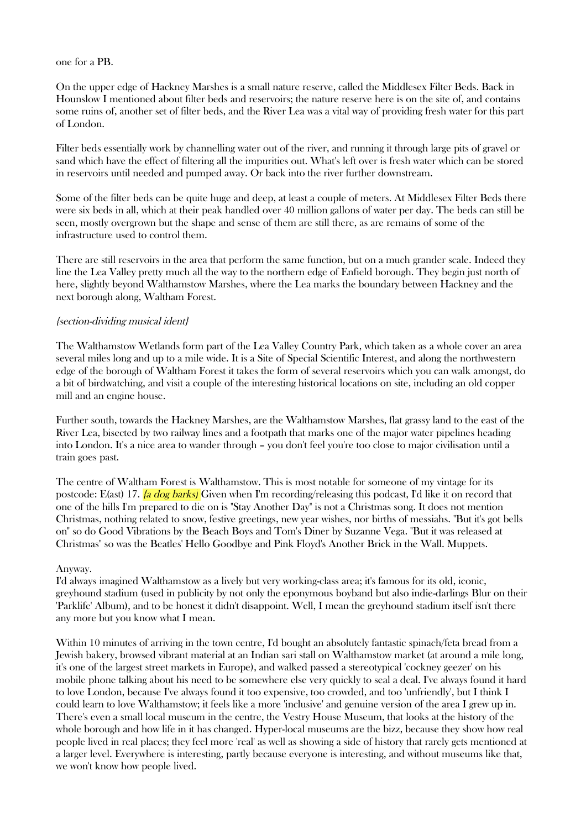#### one for a PB.

On the upper edge of Hackney Marshes is a small nature reserve, called the Middlesex Filter Beds. Back in Hounslow I mentioned about filter beds and reservoirs; the nature reserve here is on the site of, and contains some ruins of, another set of filter beds, and the River Lea was a vital way of providing fresh water for this part of London.

Filter beds essentially work by channelling water out of the river, and running it through large pits of gravel or sand which have the effect of filtering all the impurities out. What's left over is fresh water which can be stored in reservoirs until needed and pumped away. Or back into the river further downstream.

Some of the filter beds can be quite huge and deep, at least a couple of meters. At Middlesex Filter Beds there were six beds in all, which at their peak handled over 40 million gallons of water per day. The beds can still be seen, mostly overgrown but the shape and sense of them are still there, as are remains of some of the infrastructure used to control them.

There are still reservoirs in the area that perform the same function, but on a much grander scale. Indeed they line the Lea Valley pretty much all the way to the northern edge of Enfield borough. They begin just north of here, slightly beyond Walthamstow Marshes, where the Lea marks the boundary between Hackney and the next borough along, Waltham Forest.

# {section-dividing musical ident}

The Walthamstow Wetlands form part of the Lea Valley Country Park, which taken as a whole cover an area several miles long and up to a mile wide. It is a Site of Special Scientific Interest, and along the northwestern edge of the borough of Waltham Forest it takes the form of several reservoirs which you can walk amongst, do a bit of birdwatching, and visit a couple of the interesting historical locations on site, including an old copper mill and an engine house.

Further south, towards the Hackney Marshes, are the Walthamstow Marshes, flat grassy land to the east of the River Lea, bisected by two railway lines and a footpath that marks one of the major water pipelines heading into London. It's a nice area to wander through – you don't feel you're too close to major civilisation until a train goes past.

The centre of Waltham Forest is Walthamstow. This is most notable for someone of my vintage for its postcode: E(ast) 17. *{a dog barks}* Given when I'm recording/releasing this podcast. I'd like it on record that one of the hills I'm prepared to die on is "Stay Another Day" is not a Christmas song. It does not mention Christmas, nothing related to snow, festive greetings, new year wishes, nor births of messiahs. "But it's got bells on" so do Good Vibrations by the Beach Boys and Tom's Diner by Suzanne Vega. "But it was released at Christmas" so was the Beatles' Hello Goodbye and Pink Floyd's Another Brick in the Wall. Muppets.

## Anyway.

I'd always imagined Walthamstow as a lively but very working-class area; it's famous for its old, iconic, greyhound stadium (used in publicity by not only the eponymous boyband but also indie-darlings Blur on their 'Parklife' Album), and to be honest it didn't disappoint. Well, I mean the greyhound stadium itself isn't there any more but you know what I mean.

Within 10 minutes of arriving in the town centre, I'd bought an absolutely fantastic spinach/feta bread from a Jewish bakery, browsed vibrant material at an Indian sari stall on Walthamstow market (at around a mile long, it's one of the largest street markets in Europe), and walked passed a stereotypical 'cockney geezer' on his mobile phone talking about his need to be somewhere else very quickly to seal a deal. I've always found it hard to love London, because I've always found it too expensive, too crowded, and too 'unfriendly', but I think I could learn to love Walthamstow; it feels like a more 'inclusive' and genuine version of the area I grew up in. There's even a small local museum in the centre, the Vestry House Museum, that looks at the history of the whole borough and how life in it has changed. Hyper-local museums are the bizz, because they show how real people lived in real places; they feel more 'real' as well as showing a side of history that rarely gets mentioned at a larger level. Everywhere is interesting, partly because everyone is interesting, and without museums like that, we won't know how people lived.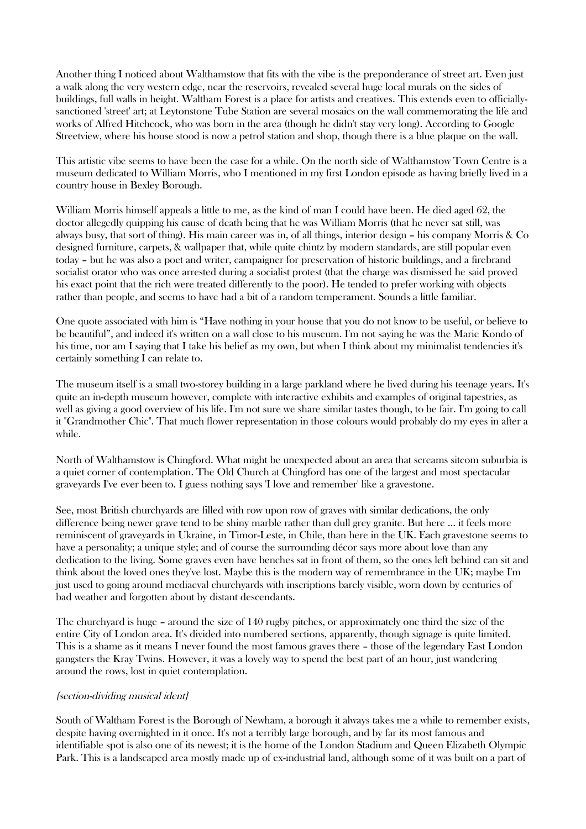Another thing I noticed about Walthamstow that fits with the vibe is the preponderance of street art. Even just a walk along the very western edge, near the reservoirs, revealed several huge local murals on the sides of buildings, full walls in height. Waltham Forest is a place for artists and creatives. This extends even to officiallysanctioned 'street' art; at Leytonstone Tube Station are several mosaics on the wall commemorating the life and works of Alfred Hitchcock, who was born in the area (though he didn't stay very long). According to Google Streetview, where his house stood is now a petrol station and shop, though there is a blue plaque on the wall.

This artistic vibe seems to have been the case for a while. On the north side of Walthamstow Town Centre is a museum dedicated to William Morris, who I mentioned in my first London episode as having briefly lived in a country house in Bexley Borough.

William Morris himself appeals a little to me, as the kind of man I could have been. He died aged 62, the doctor allegedly quipping his cause of death being that he was William Morris (that he never sat still, was always busy, that sort of thing). His main career was in, of all things, interior design – his company Morris & Co designed furniture, carpets, & wallpaper that, while quite chintz by modern standards, are still popular even today – but he was also a poet and writer, campaigner for preservation of historic buildings, and a firebrand socialist orator who was once arrested during a socialist protest (that the charge was dismissed he said proved his exact point that the rich were treated differently to the poor). He tended to prefer working with objects rather than people, and seems to have had a bit of a random temperament. Sounds a little familiar.

One quote associated with him is "Have nothing in your house that you do not know to be useful, or believe to be beautiful", and indeed it's written on a wall close to his museum. I'm not saying he was the Marie Kondo of his time, nor am I saying that I take his belief as my own, but when I think about my minimalist tendencies it's certainly something I can relate to.

The museum itself is a small two-storey building in a large parkland where he lived during his teenage years. It's quite an in-depth museum however, complete with interactive exhibits and examples of original tapestries, as well as giving a good overview of his life. I'm not sure we share similar tastes though, to be fair. I'm going to call it "Grandmother Chic". That much flower representation in those colours would probably do my eyes in after a while.

North of Walthamstow is Chingford. What might be unexpected about an area that screams sitcom suburbia is a quiet corner of contemplation. The Old Church at Chingford has one of the largest and most spectacular graveyards I've ever been to. I guess nothing says 'I love and remember' like a gravestone.

See, most British churchyards are filled with row upon row of graves with similar dedications, the only difference being newer grave tend to be shiny marble rather than dull grey granite. But here … it feels more reminiscent of graveyards in Ukraine, in Timor-Leste, in Chile, than here in the UK. Each gravestone seems to have a personality; a unique style; and of course the surrounding décor says more about love than any dedication to the living. Some graves even have benches sat in front of them, so the ones left behind can sit and think about the loved ones they've lost. Maybe this is the modern way of remembrance in the UK; maybe I'm just used to going around mediaeval churchyards with inscriptions barely visible, worn down by centuries of bad weather and forgotten about by distant descendants.

The churchyard is huge – around the size of 140 rugby pitches, or approximately one third the size of the entire City of London area. It's divided into numbered sections, apparently, though signage is quite limited. This is a shame as it means I never found the most famous graves there – those of the legendary East London gangsters the Kray Twins. However, it was a lovely way to spend the best part of an hour, just wandering around the rows, lost in quiet contemplation.

## {section-dividing musical ident}

South of Waltham Forest is the Borough of Newham, a borough it always takes me a while to remember exists, despite having overnighted in it once. It's not a terribly large borough, and by far its most famous and identifiable spot is also one of its newest; it is the home of the London Stadium and Queen Elizabeth Olympic Park. This is a landscaped area mostly made up of ex-industrial land, although some of it was built on a part of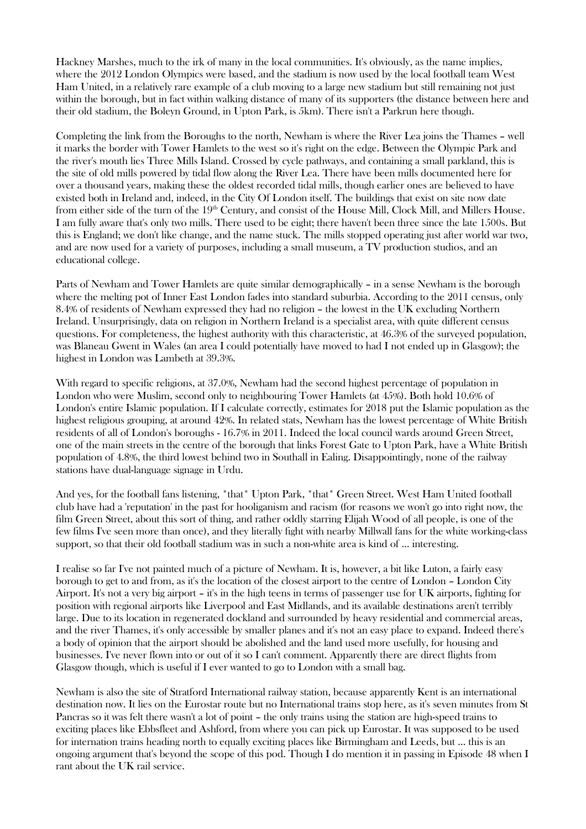Hackney Marshes, much to the irk of many in the local communities. It's obviously, as the name implies, where the 2012 London Olympics were based, and the stadium is now used by the local football team West Ham United, in a relatively rare example of a club moving to a large new stadium but still remaining not just within the borough, but in fact within walking distance of many of its supporters (the distance between here and their old stadium, the Boleyn Ground, in Upton Park, is 5km). There isn't a Parkrun here though.

Completing the link from the Boroughs to the north, Newham is where the River Lea joins the Thames – well it marks the border with Tower Hamlets to the west so it's right on the edge. Between the Olympic Park and the river's mouth lies Three Mills Island. Crossed by cycle pathways, and containing a small parkland, this is the site of old mills powered by tidal flow along the River Lea. There have been mills documented here for over a thousand years, making these the oldest recorded tidal mills, though earlier ones are believed to have existed both in Ireland and, indeed, in the City Of London itself. The buildings that exist on site now date from either side of the turn of the  $19<sup>th</sup>$  Century, and consist of the House Mill, Clock Mill, and Millers House. I am fully aware that's only two mills. There used to be eight; there haven't been three since the late 1500s. But this is England; we don't like change, and the name stuck. The mills stopped operating just after world war two, and are now used for a variety of purposes, including a small museum, a TV production studios, and an educational college.

Parts of Newham and Tower Hamlets are quite similar demographically – in a sense Newham is the borough where the melting pot of Inner East London fades into standard suburbia. According to the 2011 census, only 8.4% of residents of Newham expressed they had no religion – the lowest in the UK excluding Northern Ireland. Unsurprisingly, data on religion in Northern Ireland is a specialist area, with quite different census questions. For completeness, the highest authority with this characteristic, at 46.3% of the surveyed population, was Blaneau Gwent in Wales (an area I could potentially have moved to had I not ended up in Glasgow); the highest in London was Lambeth at 39.3%.

With regard to specific religions, at 37.0%, Newham had the second highest percentage of population in London who were Muslim, second only to neighbouring Tower Hamlets (at 45%). Both hold 10.6% of London's entire Islamic population. If I calculate correctly, estimates for 2018 put the Islamic population as the highest religious grouping, at around 42%. In related stats, Newham has the lowest percentage of White British residents of all of London's boroughs - 16.7% in 2011. Indeed the local council wards around Green Street, one of the main streets in the centre of the borough that links Forest Gate to Upton Park, have a White British population of 4.8%, the third lowest behind two in Southall in Ealing. Disappointingly, none of the railway stations have dual-language signage in Urdu.

And yes, for the football fans listening, \*that\* Upton Park, \*that\* Green Street. West Ham United football club have had a 'reputation' in the past for hooliganism and racism (for reasons we won't go into right now, the film Green Street, about this sort of thing, and rather oddly starring Elijah Wood of all people, is one of the few films I've seen more than once), and they literally fight with nearby Millwall fans for the white working-class support, so that their old football stadium was in such a non-white area is kind of … interesting.

I realise so far I've not painted much of a picture of Newham. It is, however, a bit like Luton, a fairly easy borough to get to and from, as it's the location of the closest airport to the centre of London – London City Airport. It's not a very big airport – it's in the high teens in terms of passenger use for UK airports, fighting for position with regional airports like Liverpool and East Midlands, and its available destinations aren't terribly large. Due to its location in regenerated dockland and surrounded by heavy residential and commercial areas, and the river Thames, it's only accessible by smaller planes and it's not an easy place to expand. Indeed there's a body of opinion that the airport should be abolished and the land used more usefully, for housing and businesses. I've never flown into or out of it so I can't comment. Apparently there are direct flights from Glasgow though, which is useful if I ever wanted to go to London with a small bag.

Newham is also the site of Stratford International railway station, because apparently Kent is an international destination now. It lies on the Eurostar route but no International trains stop here, as it's seven minutes from St Pancras so it was felt there wasn't a lot of point – the only trains using the station are high-speed trains to exciting places like Ebbsfleet and Ashford, from where you can pick up Eurostar. It was supposed to be used for internation trains heading north to equally exciting places like Birmingham and Leeds, but … this is an ongoing argument that's beyond the scope of this pod. Though I do mention it in passing in Episode 48 when I rant about the UK rail service.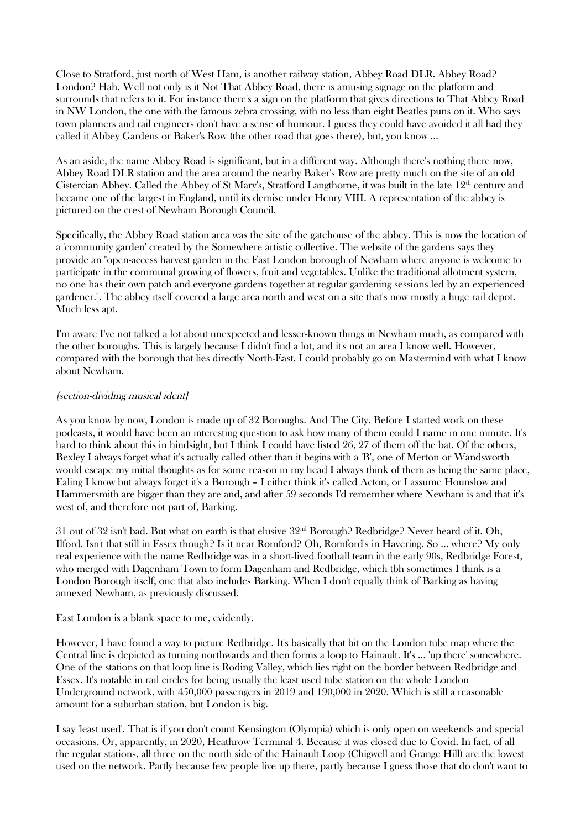Close to Stratford, just north of West Ham, is another railway station, Abbey Road DLR. Abbey Road? London? Hah. Well not only is it Not That Abbey Road, there is amusing signage on the platform and surrounds that refers to it. For instance there's a sign on the platform that gives directions to That Abbey Road in NW London, the one with the famous zebra crossing, with no less than eight Beatles puns on it. Who says town planners and rail engineers don't have a sense of humour. I guess they could have avoided it all had they called it Abbey Gardens or Baker's Row (the other road that goes there), but, you know …

As an aside, the name Abbey Road is significant, but in a different way. Although there's nothing there now, Abbey Road DLR station and the area around the nearby Baker's Row are pretty much on the site of an old Cistercian Abbey. Called the Abbey of St Mary's, Stratford Langthorne, it was built in the late  $12<sup>th</sup>$  century and became one of the largest in England, until its demise under Henry VIII. A representation of the abbey is pictured on the crest of Newham Borough Council.

Specifically, the Abbey Road station area was the site of the gatehouse of the abbey. This is now the location of a 'community garden' created by the Somewhere artistic collective. The website of the gardens says they provide an "open-access harvest garden in the East London borough of Newham where anyone is welcome to participate in the communal growing of flowers, fruit and vegetables. Unlike the traditional allotment system, no one has their own patch and everyone gardens together at regular gardening sessions led by an experienced gardener.". The abbey itself covered a large area north and west on a site that's now mostly a huge rail depot. Much less apt.

I'm aware I've not talked a lot about unexpected and lesser-known things in Newham much, as compared with the other boroughs. This is largely because I didn't find a lot, and it's not an area I know well. However, compared with the borough that lies directly North-East, I could probably go on Mastermind with what I know about Newham.

# {section-dividing musical ident}

As you know by now, London is made up of 32 Boroughs. And The City. Before I started work on these podcasts, it would have been an interesting question to ask how many of them could I name in one minute. It's hard to think about this in hindsight, but I think I could have listed 26, 27 of them off the bat. Of the others, Bexley I always forget what it's actually called other than it begins with a 'B', one of Merton or Wandsworth would escape my initial thoughts as for some reason in my head I always think of them as being the same place, Ealing I know but always forget it's a Borough – I either think it's called Acton, or I assume Hounslow and Hammersmith are bigger than they are and, and after 59 seconds I'd remember where Newham is and that it's west of, and therefore not part of, Barking.

31 out of 32 isn't bad. But what on earth is that elusive 32nd Borough? Redbridge? Never heard of it. Oh, Ilford. Isn't that still in Essex though? Is it near Romford? Oh, Romford's in Havering. So … where? My only real experience with the name Redbridge was in a short-lived football team in the early 90s, Redbridge Forest, who merged with Dagenham Town to form Dagenham and Redbridge, which tbh sometimes I think is a London Borough itself, one that also includes Barking. When I don't equally think of Barking as having annexed Newham, as previously discussed.

## East London is a blank space to me, evidently.

However, I have found a way to picture Redbridge. It's basically that bit on the London tube map where the Central line is depicted as turning northwards and then forms a loop to Hainault. It's … 'up there' somewhere. One of the stations on that loop line is Roding Valley, which lies right on the border between Redbridge and Essex. It's notable in rail circles for being usually the least used tube station on the whole London Underground network, with 450,000 passengers in 2019 and 190,000 in 2020. Which is still a reasonable amount for a suburban station, but London is big.

I say 'least used'. That is if you don't count Kensington (Olympia) which is only open on weekends and special occasions. Or, apparently, in 2020, Heathrow Terminal 4. Because it was closed due to Covid. In fact, of all the regular stations, all three on the north side of the Hainault Loop (Chigwell and Grange Hill) are the lowest used on the network. Partly because few people live up there, partly because I guess those that do don't want to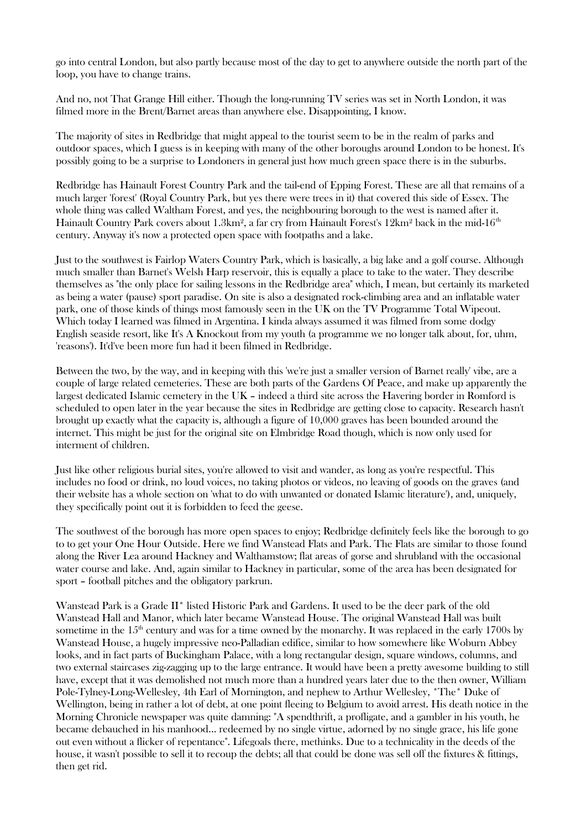go into central London, but also partly because most of the day to get to anywhere outside the north part of the loop, you have to change trains.

And no, not That Grange Hill either. Though the long-running TV series was set in North London, it was filmed more in the Brent/Barnet areas than anywhere else. Disappointing, I know.

The majority of sites in Redbridge that might appeal to the tourist seem to be in the realm of parks and outdoor spaces, which I guess is in keeping with many of the other boroughs around London to be honest. It's possibly going to be a surprise to Londoners in general just how much green space there is in the suburbs.

Redbridge has Hainault Forest Country Park and the tail-end of Epping Forest. These are all that remains of a much larger 'forest' (Royal Country Park, but yes there were trees in it) that covered this side of Essex. The whole thing was called Waltham Forest, and yes, the neighbouring borough to the west is named after it. Hainault Country Park covers about  $1.3 \text{km}^2$ , a far cry from Hainault Forest's  $12 \text{km}^2$  back in the mid- $16<sup>th</sup>$ century. Anyway it's now a protected open space with footpaths and a lake.

Just to the southwest is Fairlop Waters Country Park, which is basically, a big lake and a golf course. Although much smaller than Barnet's Welsh Harp reservoir, this is equally a place to take to the water. They describe themselves as "the only place for sailing lessons in the Redbridge area" which, I mean, but certainly its marketed as being a water (pause) sport paradise. On site is also a designated rock-climbing area and an inflatable water park, one of those kinds of things most famously seen in the UK on the TV Programme Total Wipeout. Which today I learned was filmed in Argentina. I kinda always assumed it was filmed from some dodgy English seaside resort, like It's A Knockout from my youth (a programme we no longer talk about, for, uhm, 'reasons'). It'd've been more fun had it been filmed in Redbridge.

Between the two, by the way, and in keeping with this 'we're just a smaller version of Barnet really' vibe, are a couple of large related cemeteries. These are both parts of the Gardens Of Peace, and make up apparently the largest dedicated Islamic cemetery in the UK – indeed a third site across the Havering border in Romford is scheduled to open later in the year because the sites in Redbridge are getting close to capacity. Research hasn't brought up exactly what the capacity is, although a figure of 10,000 graves has been bounded around the internet. This might be just for the original site on Elmbridge Road though, which is now only used for interment of children.

Just like other religious burial sites, you're allowed to visit and wander, as long as you're respectful. This includes no food or drink, no loud voices, no taking photos or videos, no leaving of goods on the graves (and their website has a whole section on 'what to do with unwanted or donated Islamic literature'), and, uniquely, they specifically point out it is forbidden to feed the geese.

The southwest of the borough has more open spaces to enjoy; Redbridge definitely feels like the borough to go to to get your One Hour Outside. Here we find Wanstead Flats and Park. The Flats are similar to those found along the River Lea around Hackney and Walthamstow; flat areas of gorse and shrubland with the occasional water course and lake. And, again similar to Hackney in particular, some of the area has been designated for sport – football pitches and the obligatory parkrun.

Wanstead Park is a Grade II\* listed Historic Park and Gardens. It used to be the deer park of the old Wanstead Hall and Manor, which later became Wanstead House. The original Wanstead Hall was built sometime in the  $15<sup>th</sup>$  century and was for a time owned by the monarchy. It was replaced in the early 1700s by Wanstead House, a hugely impressive neo-Palladian edifice, similar to how somewhere like Woburn Abbey looks, and in fact parts of Buckingham Palace, with a long rectangular design, square windows, columns, and two external staircases zig-zagging up to the large entrance. It would have been a pretty awesome building to still have, except that it was demolished not much more than a hundred years later due to the then owner, William Pole-Tylney-Long-Wellesley, 4th Earl of Mornington, and nephew to Arthur Wellesley, \*The\* Duke of Wellington, being in rather a lot of debt, at one point fleeing to Belgium to avoid arrest. His death notice in the Morning Chronicle newspaper was quite damning: "A spendthrift, a profligate, and a gambler in his youth, he became debauched in his manhood... redeemed by no single virtue, adorned by no single grace, his life gone out even without a flicker of repentance". Lifegoals there, methinks. Due to a technicality in the deeds of the house, it wasn't possible to sell it to recoup the debts; all that could be done was sell off the fixtures & fittings, then get rid.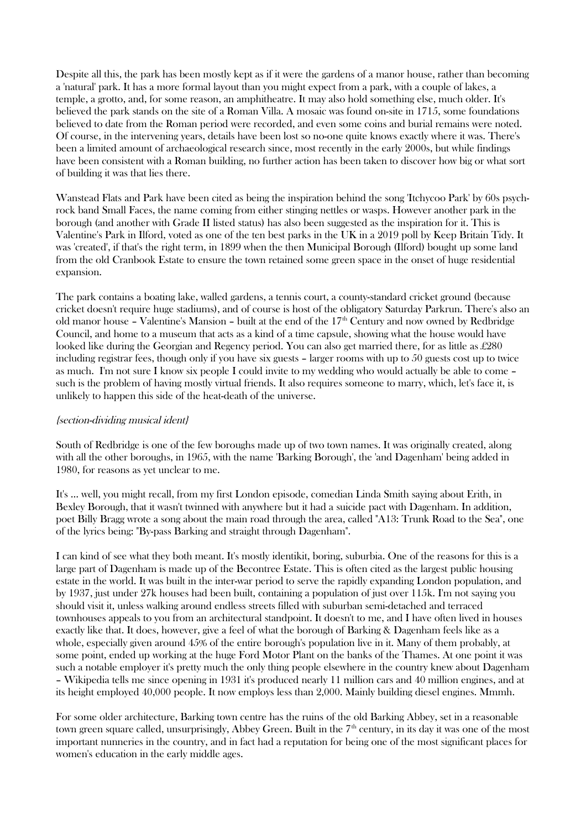Despite all this, the park has been mostly kept as if it were the gardens of a manor house, rather than becoming a 'natural' park. It has a more formal layout than you might expect from a park, with a couple of lakes, a temple, a grotto, and, for some reason, an amphitheatre. It may also hold something else, much older. It's believed the park stands on the site of a Roman Villa. A mosaic was found on-site in 1715, some foundations believed to date from the Roman period were recorded, and even some coins and burial remains were noted. Of course, in the intervening years, details have been lost so no-one quite knows exactly where it was. There's been a limited amount of archaeological research since, most recently in the early 2000s, but while findings have been consistent with a Roman building, no further action has been taken to discover how big or what sort of building it was that lies there.

Wanstead Flats and Park have been cited as being the inspiration behind the song 'Itchycoo Park' by 60s psychrock band Small Faces, the name coming from either stinging nettles or wasps. However another park in the borough (and another with Grade II listed status) has also been suggested as the inspiration for it. This is Valentine's Park in Ilford, voted as one of the ten best parks in the UK in a 2019 poll by Keep Britain Tidy. It was 'created', if that's the right term, in 1899 when the then Municipal Borough (Ilford) bought up some land from the old Cranbook Estate to ensure the town retained some green space in the onset of huge residential expansion.

The park contains a boating lake, walled gardens, a tennis court, a county-standard cricket ground (because cricket doesn't require huge stadiums), and of course is host of the obligatory Saturday Parkrun. There's also an old manor house – Valentine's Mansion – built at the end of the 17<sup>th</sup> Century and now owned by Redbridge Council, and home to a museum that acts as a kind of a time capsule, showing what the house would have looked like during the Georgian and Regency period. You can also get married there, for as little as £280 including registrar fees, though only if you have six guests – larger rooms with up to 50 guests cost up to twice as much. I'm not sure I know six people I could invite to my wedding who would actually be able to come – such is the problem of having mostly virtual friends. It also requires someone to marry, which, let's face it, is unlikely to happen this side of the heat-death of the universe.

## {section-dividing musical ident}

South of Redbridge is one of the few boroughs made up of two town names. It was originally created, along with all the other boroughs, in 1965, with the name 'Barking Borough', the 'and Dagenham' being added in 1980, for reasons as yet unclear to me.

It's … well, you might recall, from my first London episode, comedian Linda Smith saying about Erith, in Bexley Borough, that it wasn't twinned with anywhere but it had a suicide pact with Dagenham. In addition, poet Billy Bragg wrote a song about the main road through the area, called "A13: Trunk Road to the Sea", one of the lyrics being: "By-pass Barking and straight through Dagenham".

I can kind of see what they both meant. It's mostly identikit, boring, suburbia. One of the reasons for this is a large part of Dagenham is made up of the Becontree Estate. This is often cited as the largest public housing estate in the world. It was built in the inter-war period to serve the rapidly expanding London population, and by 1937, just under 27k houses had been built, containing a population of just over 115k. I'm not saying you should visit it, unless walking around endless streets filled with suburban semi-detached and terraced townhouses appeals to you from an architectural standpoint. It doesn't to me, and I have often lived in houses exactly like that. It does, however, give a feel of what the borough of Barking & Dagenham feels like as a whole, especially given around 45% of the entire borough's population live in it. Many of them probably, at some point, ended up working at the huge Ford Motor Plant on the banks of the Thames. At one point it was such a notable employer it's pretty much the only thing people elsewhere in the country knew about Dagenham – Wikipedia tells me since opening in 1931 it's produced nearly 11 million cars and 40 million engines, and at its height employed 40,000 people. It now employs less than 2,000. Mainly building diesel engines. Mmmh.

For some older architecture, Barking town centre has the ruins of the old Barking Abbey, set in a reasonable town green square called, unsurprisingly, Abbey Green. Built in the  $7<sup>th</sup>$  century, in its day it was one of the most important nunneries in the country, and in fact had a reputation for being one of the most significant places for women's education in the early middle ages.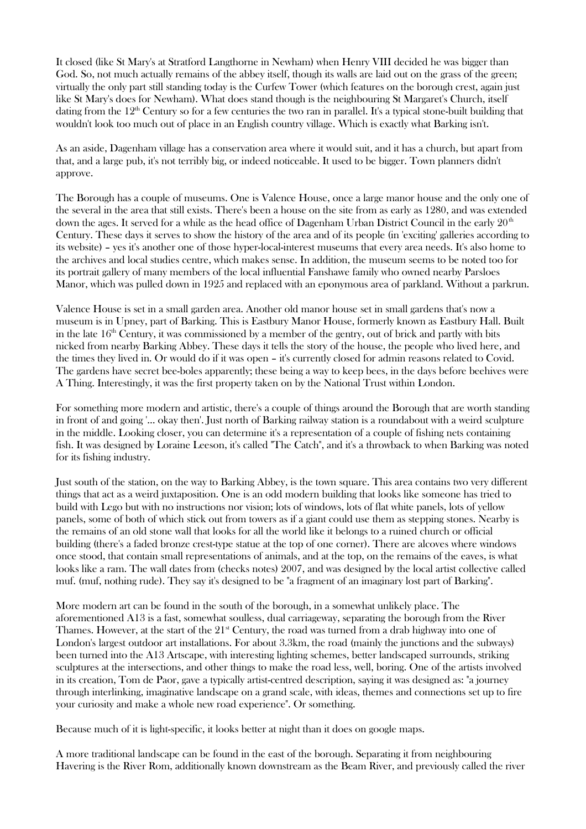It closed (like St Mary's at Stratford Langthorne in Newham) when Henry VIII decided he was bigger than God. So, not much actually remains of the abbey itself, though its walls are laid out on the grass of the green; virtually the only part still standing today is the Curfew Tower (which features on the borough crest, again just like St Mary's does for Newham). What does stand though is the neighbouring St Margaret's Church, itself dating from the  $12<sup>th</sup>$  Century so for a few centuries the two ran in parallel. It's a typical stone-built building that wouldn't look too much out of place in an English country village. Which is exactly what Barking isn't.

As an aside, Dagenham village has a conservation area where it would suit, and it has a church, but apart from that, and a large pub, it's not terribly big, or indeed noticeable. It used to be bigger. Town planners didn't approve.

The Borough has a couple of museums. One is Valence House, once a large manor house and the only one of the several in the area that still exists. There's been a house on the site from as early as 1280, and was extended down the ages. It served for a while as the head office of Dagenham Urban District Council in the early  $20<sup>th</sup>$ Century. These days it serves to show the history of the area and of its people (in 'exciting' galleries according to its website) – yes it's another one of those hyper-local-interest museums that every area needs. It's also home to the archives and local studies centre, which makes sense. In addition, the museum seems to be noted too for its portrait gallery of many members of the local influential Fanshawe family who owned nearby Parsloes Manor, which was pulled down in 1925 and replaced with an eponymous area of parkland. Without a parkrun.

Valence House is set in a small garden area. Another old manor house set in small gardens that's now a museum is in Upney, part of Barking. This is Eastbury Manor House, formerly known as Eastbury Hall. Built in the late  $16<sup>th</sup>$  Century, it was commissioned by a member of the gentry, out of brick and partly with bits nicked from nearby Barking Abbey. These days it tells the story of the house, the people who lived here, and the times they lived in. Or would do if it was open – it's currently closed for admin reasons related to Covid. The gardens have secret bee-boles apparently; these being a way to keep bees, in the days before beehives were A Thing. Interestingly, it was the first property taken on by the National Trust within London.

For something more modern and artistic, there's a couple of things around the Borough that are worth standing in front of and going '… okay then'. Just north of Barking railway station is a roundabout with a weird sculpture in the middle. Looking closer, you can determine it's a representation of a couple of fishing nets containing fish. It was designed by Loraine Leeson, it's called "The Catch", and it's a throwback to when Barking was noted for its fishing industry.

Just south of the station, on the way to Barking Abbey, is the town square. This area contains two very different things that act as a weird juxtaposition. One is an odd modern building that looks like someone has tried to build with Lego but with no instructions nor vision; lots of windows, lots of flat white panels, lots of yellow panels, some of both of which stick out from towers as if a giant could use them as stepping stones. Nearby is the remains of an old stone wall that looks for all the world like it belongs to a ruined church or official building (there's a faded bronze crest-type statue at the top of one corner). There are alcoves where windows once stood, that contain small representations of animals, and at the top, on the remains of the eaves, is what looks like a ram. The wall dates from (checks notes) 2007, and was designed by the local artist collective called muf. (muf, nothing rude). They say it's designed to be "a fragment of an imaginary lost part of Barking".

More modern art can be found in the south of the borough, in a somewhat unlikely place. The aforementioned A13 is a fast, somewhat soulless, dual carriageway, separating the borough from the River Thames. However, at the start of the  $21<sup>st</sup>$  Century, the road was turned from a drab highway into one of London's largest outdoor art installations. For about 3.3km, the road (mainly the junctions and the subways) been turned into the A13 Artscape, with interesting lighting schemes, better landscaped surrounds, striking sculptures at the intersections, and other things to make the road less, well, boring. One of the artists involved in its creation, Tom de Paor, gave a typically artist-centred description, saying it was designed as: "a journey through interlinking, imaginative landscape on a grand scale, with ideas, themes and connections set up to fire your curiosity and make a whole new road experience". Or something.

Because much of it is light-specific, it looks better at night than it does on google maps.

A more traditional landscape can be found in the east of the borough. Separating it from neighbouring Havering is the River Rom, additionally known downstream as the Beam River, and previously called the river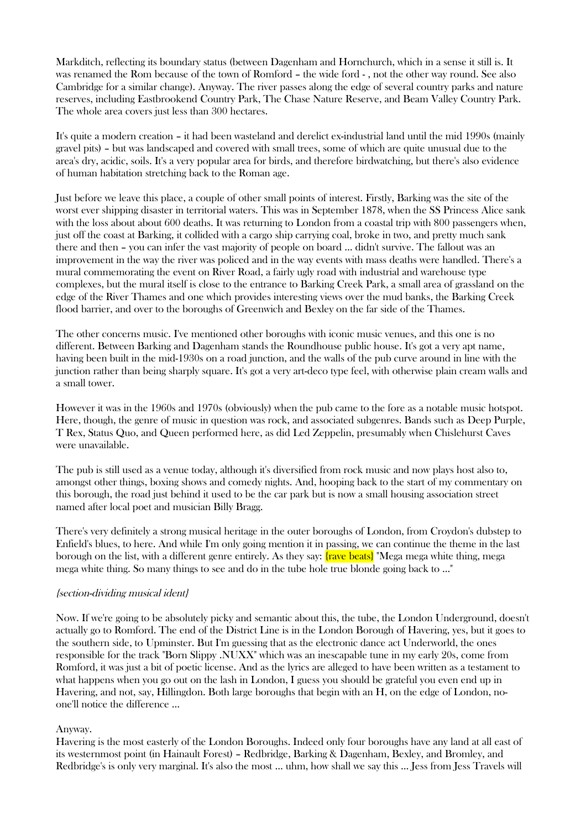Markditch, reflecting its boundary status (between Dagenham and Hornchurch, which in a sense it still is. It was renamed the Rom because of the town of Romford – the wide ford - , not the other way round. See also Cambridge for a similar change). Anyway. The river passes along the edge of several country parks and nature reserves, including Eastbrookend Country Park, The Chase Nature Reserve, and Beam Valley Country Park. The whole area covers just less than 300 hectares.

It's quite a modern creation – it had been wasteland and derelict ex-industrial land until the mid 1990s (mainly gravel pits) – but was landscaped and covered with small trees, some of which are quite unusual due to the area's dry, acidic, soils. It's a very popular area for birds, and therefore birdwatching, but there's also evidence of human habitation stretching back to the Roman age.

Just before we leave this place, a couple of other small points of interest. Firstly, Barking was the site of the worst ever shipping disaster in territorial waters. This was in September 1878, when the SS Princess Alice sank with the loss about about 600 deaths. It was returning to London from a coastal trip with 800 passengers when, just off the coast at Barking, it collided with a cargo ship carrying coal, broke in two, and pretty much sank there and then – you can infer the vast majority of people on board … didn't survive. The fallout was an improvement in the way the river was policed and in the way events with mass deaths were handled. There's a mural commemorating the event on River Road, a fairly ugly road with industrial and warehouse type complexes, but the mural itself is close to the entrance to Barking Creek Park, a small area of grassland on the edge of the River Thames and one which provides interesting views over the mud banks, the Barking Creek flood barrier, and over to the boroughs of Greenwich and Bexley on the far side of the Thames.

The other concerns music. I've mentioned other boroughs with iconic music venues, and this one is no different. Between Barking and Dagenham stands the Roundhouse public house. It's got a very apt name, having been built in the mid-1930s on a road junction, and the walls of the pub curve around in line with the junction rather than being sharply square. It's got a very art-deco type feel, with otherwise plain cream walls and a small tower.

However it was in the 1960s and 1970s (obviously) when the pub came to the fore as a notable music hotspot. Here, though, the genre of music in question was rock, and associated subgenres. Bands such as Deep Purple, T Rex, Status Quo, and Queen performed here, as did Led Zeppelin, presumably when Chislehurst Caves were unavailable.

The pub is still used as a venue today, although it's diversified from rock music and now plays host also to, amongst other things, boxing shows and comedy nights. And, hooping back to the start of my commentary on this borough, the road just behind it used to be the car park but is now a small housing association street named after local poet and musician Billy Bragg.

There's very definitely a strong musical heritage in the outer boroughs of London, from Croydon's dubstep to Enfield's blues, to here. And while I'm only going mention it in passing, we can continue the theme in the last borough on the list, with a different genre entirely. As they say: {rave beats} "Mega mega white thing, mega mega white thing. So many things to see and do in the tube hole true blonde going back to ..."

## {section-dividing musical ident}

Now. If we're going to be absolutely picky and semantic about this, the tube, the London Underground, doesn't actually go to Romford. The end of the District Line is in the London Borough of Havering, yes, but it goes to the southern side, to Upminster. But I'm guessing that as the electronic dance act Underworld, the ones responsible for the track "Born Slippy .NUXX" which was an inescapable tune in my early 20s, come from Romford, it was just a bit of poetic license. And as the lyrics are alleged to have been written as a testament to what happens when you go out on the lash in London, I guess you should be grateful you even end up in Havering, and not, say, Hillingdon. Both large boroughs that begin with an H, on the edge of London, noone'll notice the difference …

#### Anyway.

Havering is the most easterly of the London Boroughs. Indeed only four boroughs have any land at all east of its westernmost point (in Hainault Forest) – Redbridge, Barking & Dagenham, Bexley, and Bromley, and Redbridge's is only very marginal. It's also the most … uhm, how shall we say this … Jess from Jess Travels will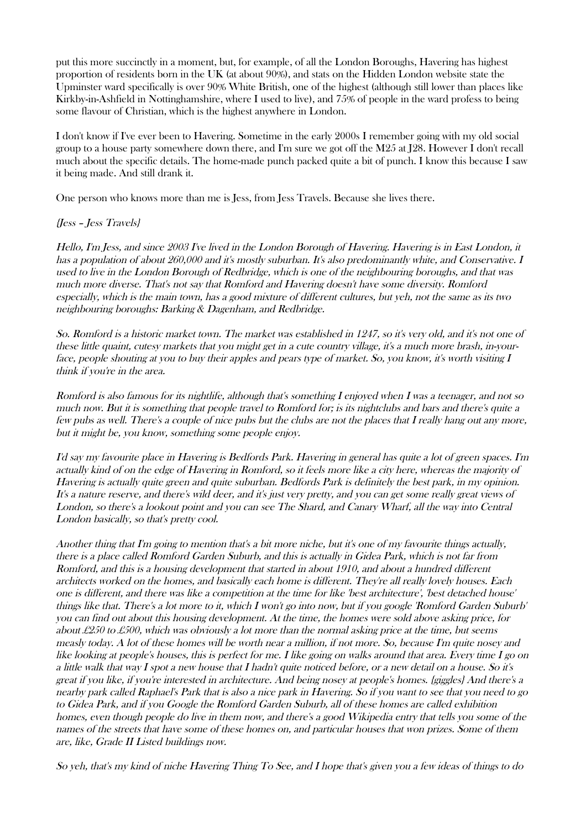put this more succinctly in a moment, but, for example, of all the London Boroughs, Havering has highest proportion of residents born in the UK (at about 90%), and stats on the Hidden London website state the Upminster ward specifically is over 90% White British, one of the highest (although still lower than places like Kirkby-in-Ashfield in Nottinghamshire, where I used to live), and 75% of people in the ward profess to being some flavour of Christian, which is the highest anywhere in London.

I don't know if I've ever been to Havering. Sometime in the early 2000s I remember going with my old social group to a house party somewhere down there, and I'm sure we got off the M25 at J28. However I don't recall much about the specific details. The home-made punch packed quite a bit of punch. I know this because I saw it being made. And still drank it.

One person who knows more than me is Jess, from Jess Travels. Because she lives there.

# {Jess – Jess Travels}

Hello, I'm Jess, and since 2003 I've lived in the London Borough of Havering. Havering is in East London, it has a population of about 260,000 and it's mostly suburban. It's also predominantly white, and Conservative. I used to live in the London Borough of Redbridge, which is one of the neighbouring boroughs, and that was much more diverse. That's not say that Romford and Havering doesn't have some diversity. Romford especially, which is the main town, has a good mixture of different cultures, but yeh, not the same as its two neighbouring boroughs: Barking & Dagenham, and Redbridge.

So. Romford is a historic market town. The market was established in 1247, so it's very old, and it's not one of these little quaint, cutesy markets that you might get in a cute country village, it's a much more brash, in-yourface, people shouting at you to buy their apples and pears type of market. So, you know, it's worth visiting I think if you're in the area.

Romford is also famous for its nightlife, although that's something I enjoyed when I was a teenager, and not so much now. But it is something that people travel to Romford for; is its nightclubs and bars and there's quite a few pubs as well. There's a couple of nice pubs but the clubs are not the places that I really hang out any more, but it might be, you know, something some people enjoy.

I'd say my favourite place in Havering is Bedfords Park. Havering in general has quite a lot of green spaces. I'm actually kind of on the edge of Havering in Romford, so it feels more like a city here, whereas the majority of Havering is actually quite green and quite suburban. Bedfords Park is definitely the best park, in my opinion. It's a nature reserve, and there's wild deer, and it's just very pretty, and you can get some really great views of London, so there's a lookout point and you can see The Shard, and Canary Wharf, all the way into Central London basically, so that's pretty cool.

Another thing that I'm going to mention that's a bit more niche, but it's one of my favourite things actually, there is a place called Romford Garden Suburb, and this is actually in Gidea Park, which is not far from Romford, and this is a housing development that started in about 1910, and about a hundred different architects worked on the homes, and basically each home is different. They're all really lovely houses. Each one is different, and there was like a competition at the time for like 'best architecture', 'best detached house' things like that. There's a lot more to it, which I won't go into now, but if you google 'Romford Garden Suburb' you can find out about this housing development. At the time, the homes were sold above asking price, for about £250 to £500, which was obviously a lot more than the normal asking price at the time, but seems measly today. A lot of these homes will be worth near a million, if not more. So, because I'm quite nosey and like looking at people's houses, this is perfect for me. I like going on walks around that area. Every time I go on a little walk that way I spot a new house that I hadn't quite noticed before, or a new detail on a house. So it's great if you like, if you're interested in architecture. And being nosey at people's homes. {giggles} And there's a nearby park called Raphael's Park that is also a nice park in Havering. So if you want to see that you need to go to Gidea Park, and if you Google the Romford Garden Suburb, all of these homes are called exhibition homes, even though people do live in them now, and there's a good Wikipedia entry that tells you some of the names of the streets that have some of these homes on, and particular houses that won prizes. Some of them are, like, Grade II Listed buildings now.

So yeh, that's my kind of niche Havering Thing To See, and I hope that's given you a few ideas of things to do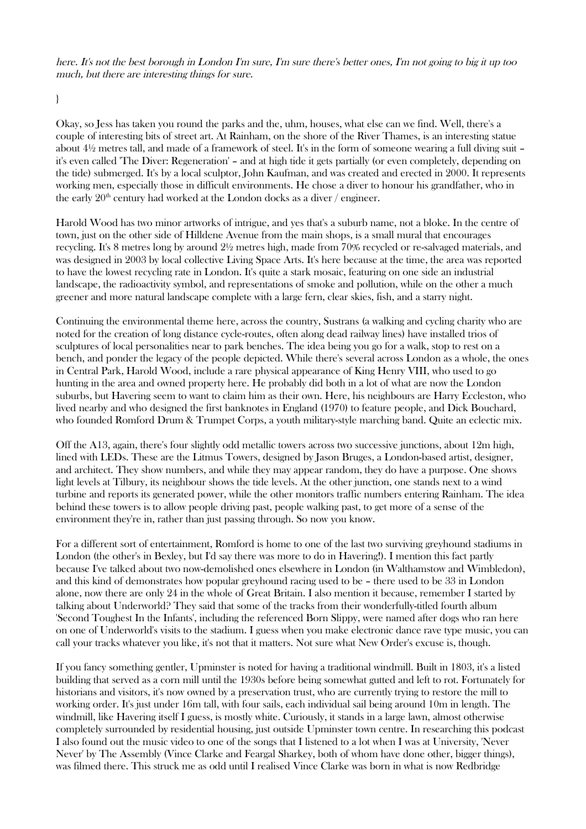here. It's not the best borough in London I'm sure, I'm sure there's better ones, I'm not going to big it up too much, but there are interesting things for sure.

}

Okay, so Jess has taken you round the parks and the, uhm, houses, what else can we find. Well, there's a couple of interesting bits of street art. At Rainham, on the shore of the River Thames, is an interesting statue about 4½ metres tall, and made of a framework of steel. It's in the form of someone wearing a full diving suit – it's even called 'The Diver: Regeneration' – and at high tide it gets partially (or even completely, depending on the tide) submerged. It's by a local sculptor, John Kaufman, and was created and erected in 2000. It represents working men, especially those in difficult environments. He chose a diver to honour his grandfather, who in the early  $20<sup>th</sup>$  century had worked at the London docks as a diver / engineer.

Harold Wood has two minor artworks of intrigue, and yes that's a suburb name, not a bloke. In the centre of town, just on the other side of Hilldene Avenue from the main shops, is a small mural that encourages recycling. It's 8 metres long by around 2½ metres high, made from 70% recycled or re-salvaged materials, and was designed in 2003 by local collective Living Space Arts. It's here because at the time, the area was reported to have the lowest recycling rate in London. It's quite a stark mosaic, featuring on one side an industrial landscape, the radioactivity symbol, and representations of smoke and pollution, while on the other a much greener and more natural landscape complete with a large fern, clear skies, fish, and a starry night.

Continuing the environmental theme here, across the country, Sustrans (a walking and cycling charity who are noted for the creation of long distance cycle-routes, often along dead railway lines) have installed trios of sculptures of local personalities near to park benches. The idea being you go for a walk, stop to rest on a bench, and ponder the legacy of the people depicted. While there's several across London as a whole, the ones in Central Park, Harold Wood, include a rare physical appearance of King Henry VIII, who used to go hunting in the area and owned property here. He probably did both in a lot of what are now the London suburbs, but Havering seem to want to claim him as their own. Here, his neighbours are Harry Eccleston, who lived nearby and who designed the first banknotes in England (1970) to feature people, and Dick Bouchard, who founded Romford Drum & Trumpet Corps, a youth military-style marching band. Quite an eclectic mix.

Off the A13, again, there's four slightly odd metallic towers across two successive junctions, about 12m high, lined with LEDs. These are the Litmus Towers, designed by Jason Bruges, a London-based artist, designer, and architect. They show numbers, and while they may appear random, they do have a purpose. One shows light levels at Tilbury, its neighbour shows the tide levels. At the other junction, one stands next to a wind turbine and reports its generated power, while the other monitors traffic numbers entering Rainham. The idea behind these towers is to allow people driving past, people walking past, to get more of a sense of the environment they're in, rather than just passing through. So now you know.

For a different sort of entertainment, Romford is home to one of the last two surviving greyhound stadiums in London (the other's in Bexley, but I'd say there was more to do in Havering!). I mention this fact partly because I've talked about two now-demolished ones elsewhere in London (in Walthamstow and Wimbledon), and this kind of demonstrates how popular greyhound racing used to be – there used to be 33 in London alone, now there are only 24 in the whole of Great Britain. I also mention it because, remember I started by talking about Underworld? They said that some of the tracks from their wonderfully-titled fourth album 'Second Toughest In the Infants', including the referenced Born Slippy, were named after dogs who ran here on one of Underworld's visits to the stadium. I guess when you make electronic dance rave type music, you can call your tracks whatever you like, it's not that it matters. Not sure what New Order's excuse is, though.

If you fancy something gentler, Upminster is noted for having a traditional windmill. Built in 1803, it's a listed building that served as a corn mill until the 1930s before being somewhat gutted and left to rot. Fortunately for historians and visitors, it's now owned by a preservation trust, who are currently trying to restore the mill to working order. It's just under 16m tall, with four sails, each individual sail being around 10m in length. The windmill, like Havering itself I guess, is mostly white. Curiously, it stands in a large lawn, almost otherwise completely surrounded by residential housing, just outside Upminster town centre. In researching this podcast I also found out the music video to one of the songs that I listened to a lot when I was at University, 'Never Never' by The Assembly (Vince Clarke and Feargal Sharkey, both of whom have done other, bigger things), was filmed there. This struck me as odd until I realised Vince Clarke was born in what is now Redbridge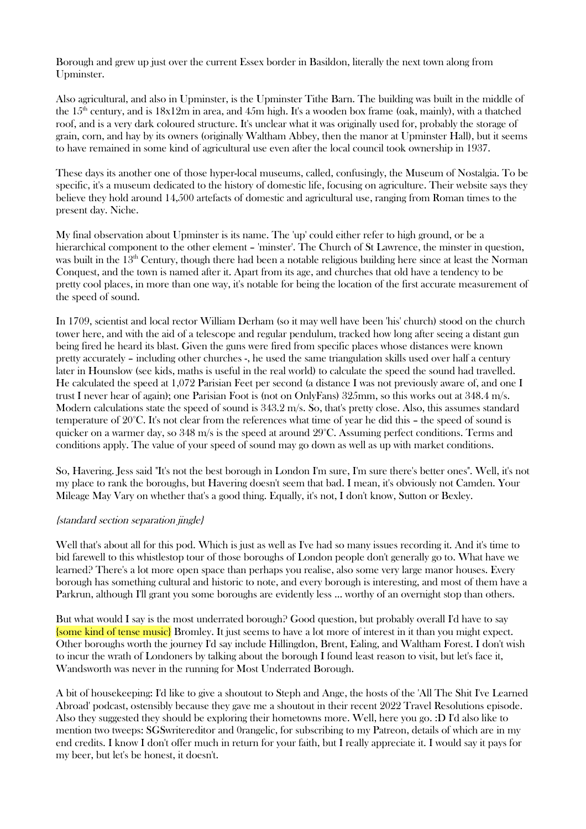Borough and grew up just over the current Essex border in Basildon, literally the next town along from Upminster.

Also agricultural, and also in Upminster, is the Upminster Tithe Barn. The building was built in the middle of the  $15<sup>th</sup>$  century, and is  $18x12m$  in area, and 45m high. It's a wooden box frame (oak, mainly), with a thatched roof, and is a very dark coloured structure. It's unclear what it was originally used for, probably the storage of grain, corn, and hay by its owners (originally Waltham Abbey, then the manor at Upminster Hall), but it seems to have remained in some kind of agricultural use even after the local council took ownership in 1937.

These days its another one of those hyper-local museums, called, confusingly, the Museum of Nostalgia. To be specific, it's a museum dedicated to the history of domestic life, focusing on agriculture. Their website says they believe they hold around 14,500 artefacts of domestic and agricultural use, ranging from Roman times to the present day. Niche.

My final observation about Upminster is its name. The 'up' could either refer to high ground, or be a hierarchical component to the other element – 'minster'. The Church of St Lawrence, the minster in question, was built in the  $13<sup>th</sup>$  Century, though there had been a notable religious building here since at least the Norman Conquest, and the town is named after it. Apart from its age, and churches that old have a tendency to be pretty cool places, in more than one way, it's notable for being the location of the first accurate measurement of the speed of sound.

In 1709, scientist and local rector William Derham (so it may well have been 'his' church) stood on the church tower here, and with the aid of a telescope and regular pendulum, tracked how long after seeing a distant gun being fired he heard its blast. Given the guns were fired from specific places whose distances were known pretty accurately – including other churches -, he used the same triangulation skills used over half a century later in Hounslow (see kids, maths is useful in the real world) to calculate the speed the sound had travelled. He calculated the speed at 1,072 Parisian Feet per second (a distance I was not previously aware of, and one I trust I never hear of again); one Parisian Foot is (not on OnlyFans) 325mm, so this works out at 348.4 m/s. Modern calculations state the speed of sound is 343.2 m/s. So, that's pretty close. Also, this assumes standard temperature of 20°C. It's not clear from the references what time of year he did this – the speed of sound is quicker on a warmer day, so 348 m/s is the speed at around 29°C. Assuming perfect conditions. Terms and conditions apply. The value of your speed of sound may go down as well as up with market conditions.

So, Havering. Jess said "It's not the best borough in London I'm sure, I'm sure there's better ones". Well, it's not my place to rank the boroughs, but Havering doesn't seem that bad. I mean, it's obviously not Camden. Your Mileage May Vary on whether that's a good thing. Equally, it's not, I don't know, Sutton or Bexley.

## {standard section separation jingle}

Well that's about all for this pod. Which is just as well as I've had so many issues recording it. And it's time to bid farewell to this whistlestop tour of those boroughs of London people don't generally go to. What have we learned? There's a lot more open space than perhaps you realise, also some very large manor houses. Every borough has something cultural and historic to note, and every borough is interesting, and most of them have a Parkrun, although I'll grant you some boroughs are evidently less … worthy of an overnight stop than others.

But what would I say is the most underrated borough? Good question, but probably overall I'd have to say {some kind of tense music} Bromley. It just seems to have a lot more of interest in it than you might expect. Other boroughs worth the journey I'd say include Hillingdon, Brent, Ealing, and Waltham Forest. I don't wish to incur the wrath of Londoners by talking about the borough I found least reason to visit, but let's face it, Wandsworth was never in the running for Most Underrated Borough.

A bit of housekeeping: I'd like to give a shoutout to Steph and Ange, the hosts of the 'All The Shit I've Learned Abroad' podcast, ostensibly because they gave me a shoutout in their recent 2022 Travel Resolutions episode. Also they suggested they should be exploring their hometowns more. Well, here you go. :D I'd also like to mention two tweeps: SGSwritereditor and 0rangelic, for subscribing to my Patreon, details of which are in my end credits. I know I don't offer much in return for your faith, but I really appreciate it. I would say it pays for my beer, but let's be honest, it doesn't.